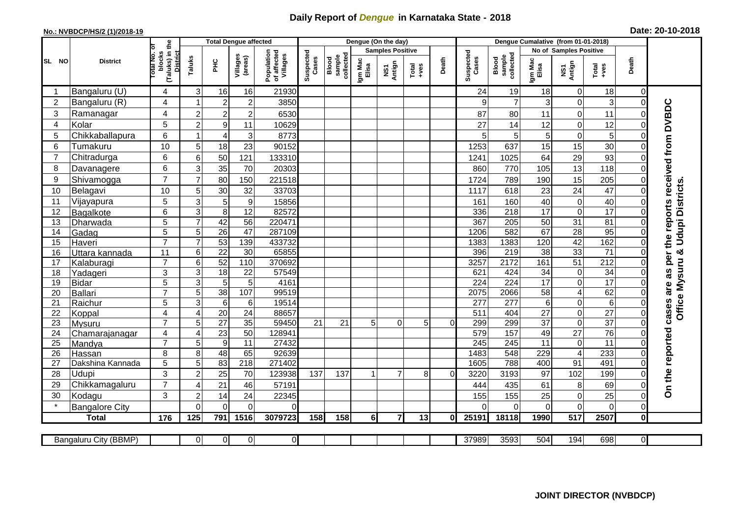## **Daily Report of** *Dengue* **in Karnataka State - 2018**

## **No.: NVBDCP/HS/2 (1)/2018-19 Date: 20-10-2018**

|                 | <b>District</b>                 |                                                   |                                  | <b>Total Dengue affected</b> |                     |                                       |                    |                              |                         | Dengue (On the day) |                  |          |                    |                              |                        |                               |                       |                                    |                                                  |
|-----------------|---------------------------------|---------------------------------------------------|----------------------------------|------------------------------|---------------------|---------------------------------------|--------------------|------------------------------|-------------------------|---------------------|------------------|----------|--------------------|------------------------------|------------------------|-------------------------------|-----------------------|------------------------------------|--------------------------------------------------|
|                 |                                 | ъ                                                 |                                  |                              |                     |                                       | Suspected<br>Cases |                              | <b>Samples Positive</b> |                     |                  |          |                    |                              | No of Samples Positive |                               |                       |                                    |                                                  |
| SL NO           |                                 | (Taluks) in the<br>District<br>otal No.<br>blocks | Taluks                           | È                            | Villages<br>(areas) | Population<br>of affected<br>Villages |                    | sample<br>collected<br>Blood | Igm Mac<br>Elisa        | NS1<br>Antign       | $Tota$<br>$+ves$ | Death    | Suspected<br>Cases | collected<br>sample<br>Blood | Igm Mac<br>Elisa       | NS1<br>Antign                 | Total<br>$+ve$ s      | Death                              |                                                  |
|                 | Bangaluru (U)                   | 4                                                 | 3                                | 16                           | 16                  | 21930                                 |                    |                              |                         |                     |                  |          | 24                 | 19                           | 18                     | $\mathbf 0$                   | 18                    | $\overline{0}$                     |                                                  |
| $\overline{2}$  | Bangaluru (R)                   | 4                                                 | 1                                | $\overline{2}$               | $\overline{2}$      | 3850                                  |                    |                              |                         |                     |                  |          | 9                  |                              | 3                      | $\mathbf 0$                   | 3                     | $\overline{0}$                     |                                                  |
| 3               | Ramanagar                       | 4                                                 | $\overline{c}$                   | $\overline{c}$               | $\mathbf 2$         | 6530                                  |                    |                              |                         |                     |                  |          | 87                 | 80                           | 11                     | $\boldsymbol{0}$              | 11                    | 0                                  | cases are as per the reports received from DVBDC |
| 4               | Kolar                           | 5                                                 | $\overline{c}$                   | $\boldsymbol{9}$             | 11                  | 10629                                 |                    |                              |                         |                     |                  |          | 27                 | 14                           | 12                     | $\mathbf 0$                   | 12                    | $\Omega$                           |                                                  |
| 5               | Chikkaballapura                 | 6                                                 | 1                                | $\overline{\mathbf{4}}$      | 3                   | 8773                                  |                    |                              |                         |                     |                  |          | 5                  | 5                            | 5                      | $\boldsymbol{0}$              | 5                     | $\Omega$                           |                                                  |
| 6               | Tumakuru                        | 10                                                | 5                                | 18                           | 23                  | 90152                                 |                    |                              |                         |                     |                  |          | 1253               | 637                          | 15                     | 15                            | 30                    | 0                                  |                                                  |
|                 | Chitradurga                     | 6                                                 | 6                                | 50                           | 121                 | 133310                                |                    |                              |                         |                     |                  |          | 1241               | 1025                         | 64                     | 29                            | 93                    | $\mathbf 0$                        |                                                  |
| 8               | Davanagere                      | 6                                                 | 3                                | 35                           | 70                  | 20303                                 |                    |                              |                         |                     |                  |          | 860                | 770                          | 105                    | 13                            | 118                   | 0                                  |                                                  |
| 9               | Shivamogga                      | $\overline{7}$                                    | $\overline{7}$                   | 80                           | 150                 | 221518                                |                    |                              |                         |                     |                  |          | 1724               | 789                          | 190                    | 15                            | 205                   | $\mathbf 0$                        |                                                  |
| 10              | Belagavi                        | 10                                                | 5                                | 30                           | 32                  | 33703                                 |                    |                              |                         |                     |                  |          | 1117               | 618                          | 23                     | 24                            | 47                    | $\mathbf 0$                        | <b>Udupi Districts</b>                           |
| 11              | Vijayapura                      | 5                                                 | 3                                | 5                            | $\boldsymbol{9}$    | 15856                                 |                    |                              |                         |                     |                  |          | 161                | 160                          | 40                     | $\pmb{0}$                     | 40                    | 0                                  |                                                  |
| 12              | Bagalkote                       | 6                                                 | $\mathbf{3}$                     | $\overline{8}$               | 12                  | 82572                                 |                    |                              |                         |                     |                  |          | 336                | $\overline{218}$             | $\overline{17}$        | $\boldsymbol{0}$              | $\overline{17}$       | 0                                  |                                                  |
| 13              | Dharwada                        | $\overline{5}$                                    | $\overline{7}$                   | 42                           | 56                  | 220471                                |                    |                              |                         |                     |                  |          | 367                | 205                          | 50                     | 31                            | $\overline{81}$       | $\overline{0}$                     |                                                  |
| 14              | Gadag                           | 5                                                 | 5                                | $\overline{26}$              | $\overline{47}$     | 287109                                |                    |                              |                         |                     |                  |          | 1206               | 582                          | 67                     | 28                            | 95                    | $\mathbf 0$                        |                                                  |
| 15              | Haveri                          | $\overline{7}$                                    | $\overline{7}$                   | 53                           | 139                 | 433732                                |                    |                              |                         |                     |                  |          | 1383               | 1383                         | 120                    | 42                            | 162                   | $\mathsf{O}\xspace$                |                                                  |
| 16              | Uttara kannada                  | 11                                                | 6                                | $\overline{22}$              | 30                  | 65855                                 |                    |                              |                         |                     |                  |          | 396                | $\overline{219}$             | $\overline{38}$        | 33                            | $\overline{71}$       | $\mathbf 0$                        | න්                                               |
| 17              | Kalaburagi                      | $\overline{7}$                                    | 6                                | 52                           | 110                 | 370692                                |                    |                              |                         |                     |                  |          | 3257               | 2172                         | 161                    | 51                            | $\overline{212}$      | $\overline{0}$                     |                                                  |
| 18              | Yadageri                        | 3                                                 | 3                                | 18                           | 22                  | 57549                                 |                    |                              |                         |                     |                  |          | 621                | 424                          | 34                     | $\pmb{0}$                     | 34                    | $\Omega$                           |                                                  |
| 19              | <b>Bidar</b>                    | 5                                                 | $\mathbf{3}$                     | $\overline{5}$               | 5                   | 4161                                  |                    |                              |                         |                     |                  |          | 224                | 224                          | $\overline{17}$        | $\pmb{0}$                     | $\overline{17}$       | 0                                  |                                                  |
| 20              | <b>Ballari</b>                  | $\overline{7}$                                    | 5                                | 38                           | 107                 | 99519                                 |                    |                              |                         |                     |                  |          | 2075               | 2066                         | 58                     | $\overline{\mathbf{4}}$       | 62                    | $\Omega$                           | Office Mysuru                                    |
| 21              | Raichur                         | $\overline{5}$<br>$\overline{4}$                  | $\overline{3}$<br>$\overline{4}$ | 6                            | 6<br>24             | 19514<br>88657                        |                    |                              |                         |                     |                  |          | $\overline{277}$   | 277                          | $6\phantom{1}$         | $\mathbf 0$                   | $\overline{6}$        | 0                                  |                                                  |
| 22<br>23        | Koppal                          | $\overline{7}$                                    | 5                                | 20<br>$\overline{27}$        | $\overline{35}$     | 59450                                 | 21                 | 21                           | 5 <sup>1</sup>          | $\Omega$            | 5                | $\Omega$ | 511<br>299         | 404<br>299                   | 27<br>$\overline{37}$  | $\boldsymbol{0}$<br>$\pmb{0}$ | 27<br>$\overline{37}$ | $\mathsf{O}\xspace$<br>$\mathbf 0$ |                                                  |
| 24              | <b>Mysuru</b><br>Chamarajanagar | $\overline{4}$                                    | 4                                | 23                           | 50                  | 128941                                |                    |                              |                         |                     |                  |          | 579                | 157                          | 49                     | $\overline{27}$               | 76                    | $\mathbf 0$                        |                                                  |
| $\overline{25}$ | Mandya                          | $\overline{7}$                                    | 5                                | $\overline{9}$               | $\overline{11}$     | 27432                                 |                    |                              |                         |                     |                  |          | 245                | 245                          | $\overline{11}$        | $\pmb{0}$                     | $\overline{11}$       | $\Omega$                           |                                                  |
| 26              | Hassan                          | 8                                                 | 8                                | 48                           | 65                  | 92639                                 |                    |                              |                         |                     |                  |          | 1483               | 548                          | 229                    | $\overline{\mathbf{4}}$       | 233                   | $\mathbf 0$                        |                                                  |
| 27              | Dakshina Kannada                | 5                                                 | 5                                | 83                           | 218                 | 271402                                |                    |                              |                         |                     |                  |          | 1605               | 788                          | 400                    | 91                            | 491                   | $\overline{\mathsf{o}}$            |                                                  |
| 28              | Udupi                           | 3                                                 | $\overline{c}$                   | 25                           | 70                  | 123938                                | 137                | 137                          |                         | $\overline{7}$      | 8                | $\Omega$ | 3220               | 3193                         | 97                     | 102                           | 199                   | $\Omega$                           |                                                  |
| 29              | Chikkamagaluru                  | $\overline{7}$                                    | 4                                | 21                           | 46                  | 57191                                 |                    |                              |                         |                     |                  |          | 444                | 435                          | 61                     | 8                             | 69                    | 0                                  | On the reported                                  |
| 30              | Kodagu                          | 3                                                 | $\overline{c}$                   | 14                           | 24                  | 22345                                 |                    |                              |                         |                     |                  |          | 155                | 155                          | 25                     | $\pmb{0}$                     | 25                    | $\mathbf 0$                        |                                                  |
|                 | <b>Bangalore City</b>           |                                                   | $\Omega$                         | $\Omega$                     | $\Omega$            | $\Omega$                              |                    |                              |                         |                     |                  |          | $\Omega$           | $\Omega$                     | $\Omega$               | $\mathbf 0$                   | $\Omega$              | $\overline{0}$                     |                                                  |
|                 | <b>Total</b>                    | 176                                               | 125                              | 791                          | 1516                | 3079723                               | 158                | 158                          | 6l                      | $\overline{7}$      | 13               | ΩI       | 25191              | 18118                        | 1990                   | $\overline{517}$              | 2507                  | $\mathbf 0$                        |                                                  |
|                 |                                 |                                                   |                                  |                              |                     |                                       |                    |                              |                         |                     |                  |          |                    |                              |                        |                               |                       |                                    |                                                  |
|                 | Bangaluru City (BBMP)           |                                                   | $\overline{0}$                   | $\overline{0}$               | $\overline{0}$      | $\overline{0}$                        |                    |                              |                         |                     |                  |          | 37989              | 3593                         | 504                    | 194                           | 698                   | $\overline{0}$                     |                                                  |